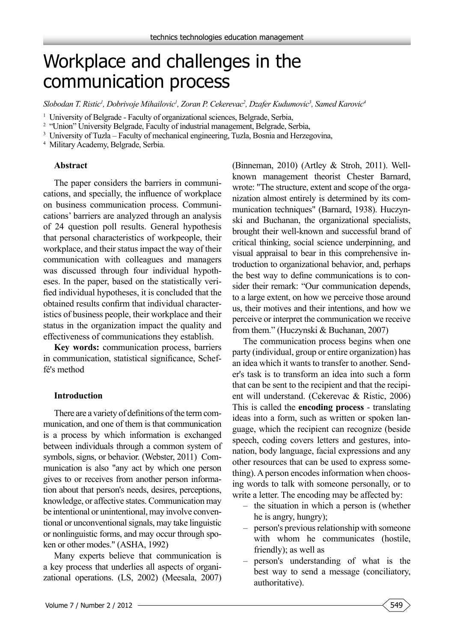# Workplace and challenges in the communication process

 $Slobodan$  T. Ristic<sup>1</sup>, Dobrivoje Mihailovic<sup>1</sup>, Zoran P. Cekerevac<sup>2</sup>, Dzafer Kudumovic<sup>3</sup>, Samed Karovic<sup>4</sup>

<sup>1</sup> University of Belgrade - Faculty of organizational sciences, Belgrade, Serbia,

<sup>2</sup> "Union" University Belgrade, Faculty of industrial management, Belgrade, Serbia,

<sup>3</sup> University of Tuzla – Faculty of mechanical engineering, Tuzla, Bosnia and Herzegovina,

4 Military Academy, Belgrade, Serbia.

#### **Abstract**

The paper considers the barriers in communications, and specially, the influence of workplace on business communication process. Communications' barriers are analyzed through an analysis of 24 question poll results. General hypothesis that personal characteristics of workpeople, their workplace, and their status impact the way of their communication with colleagues and managers was discussed through four individual hypotheses. In the paper, based on the statistically verified individual hypotheses, it is concluded that the obtained results confirm that individual characteristics of business people, their workplace and their status in the organization impact the quality and effectiveness of communications they establish.

**Key words:** communication process, barriers in communication, statistical significance, Scheffé's method

#### **Introduction**

There are a variety of definitions of the term communication, and one of them is that communication is a process by which information is exchanged between individuals through a common system of symbols, signs, or behavior. (Webster, 2011) Communication is also "any act by which one person gives to or receives from another person information about that person's needs, desires, perceptions, knowledge, or affective states. Communication may be intentional or unintentional, may involve conventional or unconventional signals, may take linguistic or nonlinguistic forms, and may occur through spoken or other modes." (ASHA, 1992)

Many experts believe that communication is a key process that underlies all aspects of organizational operations. (LS, 2002) (Meesala, 2007)

(Binneman, 2010) (Artley & Stroh, 2011). Wellknown management theorist Chester Barnard, wrote: "The structure, extent and scope of the organization almost entirely is determined by its communication techniques" (Barnard, 1938). Huczynski and Buchanan, the organizational specialists, brought their well-known and successful brand of critical thinking, social science underpinning, and visual appraisal to bear in this comprehensive introduction to organizational behavior, and, perhaps the best way to define communications is to consider their remark: "Our communication depends, to a large extent, on how we perceive those around us, their motives and their intentions, and how we perceive or interpret the communication we receive from them." (Huczynski & Buchanan, 2007)

The communication process begins when one party (individual, group or entire organization) has an idea which it wants to transfer to another. Sender's task is to transform an idea into such a form that can be sent to the recipient and that the recipient will understand. (Cekerevac & Ristic, 2006) This is called the **encoding process** - translating ideas into a form, such as written or spoken language, which the recipient can recognize (beside speech, coding covers letters and gestures, intonation, body language, facial expressions and any other resources that can be used to express something). A person encodes information when choosing words to talk with someone personally, or to write a letter. The encoding may be affected by:

- the situation in which a person is (whether he is angry, hungry);
- person's previous relationship with someone with whom he communicates (hostile, friendly); as well as
- person's understanding of what is the best way to send a message (conciliatory, authoritative).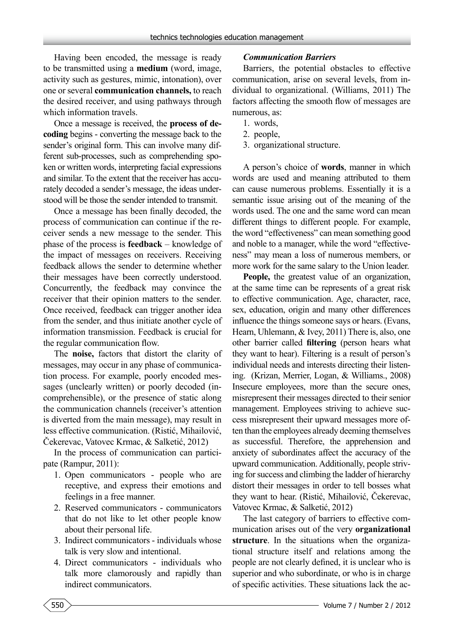Having been encoded, the message is ready to be transmitted using a **medium** (word, image, activity such as gestures, mimic, intonation), over one or several **communication channels,** to reach the desired receiver, and using pathways through which information travels.

Once a message is received, the **process of decoding** begins - converting the message back to the sender's original form. This can involve many different sub-processes, such as comprehending spoken or written words, interpreting facial expressions and similar. To the extent that the receiver has accurately decoded a sender's message, the ideas understood will be those the sender intended to transmit.

Once a message has been finally decoded, the process of communication can continue if the receiver sends a new message to the sender. This phase of the process is **feedback** – knowledge of the impact of messages on receivers. Receiving feedback allows the sender to determine whether their messages have been correctly understood. Concurrently, the feedback may convince the receiver that their opinion matters to the sender. Once received, feedback can trigger another idea from the sender, and thus initiate another cycle of information transmission. Feedback is crucial for the regular communication flow.

The **noise,** factors that distort the clarity of messages, may occur in any phase of communication process. For example, poorly encoded messages (unclearly written) or poorly decoded (incomprehensible), or the presence of static along the communication channels (receiver's attention is diverted from the main message), may result in less effective communication. (Ristić, Mihailović, Čekerevac, Vatovec Krmac, & Salketić, 2012)

In the process of communication can participate (Rampur, 2011):

- 1. Open communicators people who are receptive, and express their emotions and feelings in a free manner.
- 2. Reserved communicators communicators that do not like to let other people know about their personal life.
- 3. Indirect communicators individuals whose talk is very slow and intentional.
- 4. Direct communicators individuals who talk more clamorously and rapidly than indirect communicators.

#### *Communication Barriers*

Barriers, the potential obstacles to effective communication, arise on several levels, from individual to organizational. (Williams, 2011) The factors affecting the smooth flow of messages are numerous, as:

- 1. words,
- 2. people,
- 3. organizational structure.

A person's choice of **words**, manner in which words are used and meaning attributed to them can cause numerous problems. Essentially it is a semantic issue arising out of the meaning of the words used. The one and the same word can mean different things to different people. For example, the word "effectiveness" can mean something good and noble to a manager, while the word "effectiveness" may mean a loss of numerous members, or more work for the same salary to the Union leader.

**People,** the greatest value of an organization, at the same time can be represents of a great risk to effective communication. Age, character, race, sex, education, origin and many other differences influence the things someone says or hears. (Evans, Hearn, Uhlemann, & Ivey, 2011) There is, also, one other barrier called **filtering** (person hears what they want to hear). Filtering is a result of person's individual needs and interests directing their listening. (Krizan, Merrier, Logan, & Williams., 2008) Insecure employees, more than the secure ones, misrepresent their messages directed to their senior management. Employees striving to achieve success misrepresent their upward messages more often than the employees already deeming themselves as successful. Therefore, the apprehension and anxiety of subordinates affect the accuracy of the upward communication. Additionally, people striving for success and climbing the ladder of hierarchy distort their messages in order to tell bosses what they want to hear. (Ristić, Mihailović, Čekerevac, Vatovec Krmac, & Salketić, 2012)

The last category of barriers to effective communication arises out of the very **organizational structure**. In the situations when the organizational structure itself and relations among the people are not clearly defined, it is unclear who is superior and who subordinate, or who is in charge of specific activities. These situations lack the ac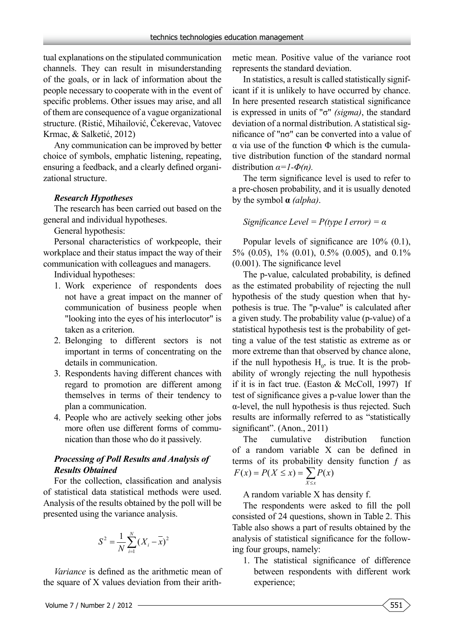tual explanations on the stipulated communication channels. They can result in misunderstanding of the goals, or in lack of information about the people necessary to cooperate with in the event of specific problems. Other issues may arise, and all of them are consequence of a vague organizational structure. (Ristić, Mihailović, Čekerevac, Vatovec Krmac, & Salketić, 2012)

Any communication can be improved by better choice of symbols, emphatic listening, repeating, ensuring a feedback, and a clearly defined organizational structure.

## *Research Hypotheses*

The research has been carried out based on the general and individual hypotheses.

General hypothesis:

Personal characteristics of workpeople, their workplace and their status impact the way of their communication with colleagues and managers.

Individual hypotheses:

- 1. Work experience of respondents does not have a great impact on the manner of communication of business people when "looking into the eyes of his interlocutor" is taken as a criterion.
- 2. Belonging to different sectors is not important in terms of concentrating on the details in communication.
- 3. Respondents having different chances with regard to promotion are different among themselves in terms of their tendency to plan a communication.
- 4. People who are actively seeking other jobs more often use different forms of communication than those who do it passively.

## *Processing of Poll Results and Analysis of Results Obtained*

For the collection, classification and analysis of statistical data statistical methods were used. Analysis of the results obtained by the poll will be presented using the variance analysis.

$$
S^{2} = \frac{1}{N} \sum_{i=1}^{N} (X_{i} - \overline{x})^{2}
$$

*Variance* is defined as the arithmetic mean of the square of X values deviation from their arith-

metic mean. Positive value of the variance root represents the standard deviation.

In statistics, a result is called statistically significant if it is unlikely to have occurred by chance. In here presented research statistical significance is expressed in units of "σ" *(sigma)*, the standard deviation of a normal distribution. A statistical significance of "nσ" can be converted into a value of α via use of the function Φ which is the cumulative distribution function of the standard normal distribution  $\alpha = I - \Phi(n)$ .

The term significance level is used to refer to a pre-chosen probability, and it is usually denoted by the symbol **α** *(alpha)*.

## *Significance Level = P(type I error) = α*

Popular levels of significance are 10% (0.1), 5% (0.05), 1% (0.01), 0.5% (0.005), and 0.1% (0.001). The significance level

The p-value, calculated probability, is defined as the estimated probability of rejecting the null hypothesis of the study question when that hypothesis is true. The "p-value" is calculated after a given study. The probability value (p-value) of a statistical hypothesis test is the probability of getting a value of the test statistic as extreme as or more extreme than that observed by chance alone, if the null hypothesis  $H_0$ , is true. It is the probability of wrongly rejecting the null hypothesis if it is in fact true. (Easton & McColl, 1997) If test of significance gives a p-value lower than the α-level, the null hypothesis is thus rejected. Such results are informally referred to as "statistically significant". (Anon., 2011)

The cumulative distribution function of a random variable X can be defined in terms of its probability density function  $f$  as  $P(X \leq x) = \sum_{X \leq x}$ *X x*  $F(x) = P(X \le x) = \sum P(x)$ 

A random variable X has density f.

The respondents were asked to fill the poll consisted of 24 questions, shown in Table 2. This Table also shows a part of results obtained by the analysis of statistical significance for the following four groups, namely:

1. The statistical significance of difference between respondents with different work experience;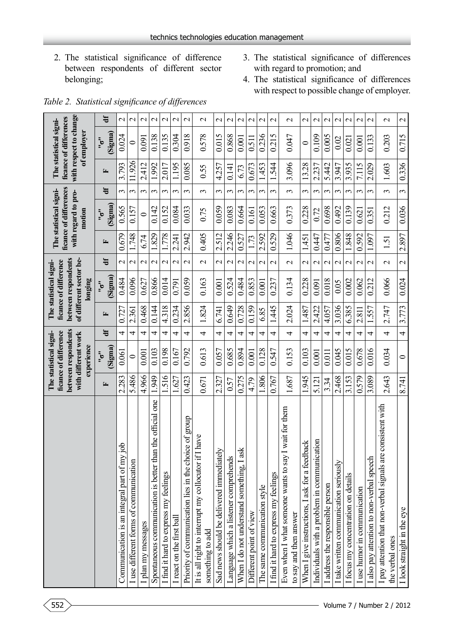- 2. The statistical significance of difference between respondents of different sector belonging;
- 3. The statistical significance of differences with regard to promotion; and
- 4. The statistical significance of differences with respect to possible change of employer.

|                                                                                    |       | between respondents<br>ficance of difference<br>The statistical signi-<br>with different work<br>experience |            |       | between respondents<br>of different sector be-<br>ficance of difference<br>The statistical signi-<br>longing |                          |       | ficance of differences<br>The statistical signi-<br>with regard to pro-<br>motion |            |        | with respect to change<br>ficance of differences<br>The statistical signi-<br>of employer |                          |
|------------------------------------------------------------------------------------|-------|-------------------------------------------------------------------------------------------------------------|------------|-------|--------------------------------------------------------------------------------------------------------------|--------------------------|-------|-----------------------------------------------------------------------------------|------------|--------|-------------------------------------------------------------------------------------------|--------------------------|
|                                                                                    | 匞     | (Sigma)<br>$\frac{1}{2}$                                                                                    | $\ddot{a}$ | 匞     | (Sigma)<br>$\frac{1}{2}$                                                                                     | 岩                        | 匞     | (Sigma)<br>$\frac{1}{2}$                                                          | 岩          | 匞      | (Sigma)<br>$\frac{1}{2}$                                                                  | 岩                        |
| <u>doi</u><br>Communication is an integral part of my                              | 2.283 | 0.061                                                                                                       | 4          | 0.727 | 0.484                                                                                                        | $\mathbf 2$              | 0.679 | 0.565                                                                             | 3          | 3.793  | 0.024                                                                                     | $\overline{\mathcal{C}}$ |
| I use different forms of communication                                             | 5.486 | $\circ$                                                                                                     | 4          | 2.361 | 0.096                                                                                                        | $\sim$                   | 1.748 | 0.157                                                                             | $\epsilon$ | 11.926 | $\circ$                                                                                   | $\mathbf{\sim}$          |
| plan my messages                                                                   | 4.966 | 0.001                                                                                                       | 4          | 0.468 | 0.627                                                                                                        | $\mathbf{\Omega}$        | 6.74  | $\subset$                                                                         | 3          | 2.412  | 0.091                                                                                     | $\mathbf{\Omega}$        |
| Spontaneous communication is better than the official one                          | 1.949 | 0.103                                                                                                       | 4          | 0.144 | 0.866                                                                                                        | $\sim$                   | 1.829 | 0.142                                                                             | $\epsilon$ | 1.992  | 0.138                                                                                     | $\sim$                   |
| I find it hard to express my feelings                                              | 1.516 | 0.198                                                                                                       | 4          | 4.318 | 0.014                                                                                                        | $\sim$                   | 1.778 | 0.152                                                                             | $\epsilon$ | 2.017  | 0.135                                                                                     | $\sim$                   |
| I react on the first ball                                                          | 1.627 | 0.167                                                                                                       | 4          | 0.234 | 0.791                                                                                                        | $\mathbf{\Omega}$        | 2.241 | 0.084                                                                             | $\sim$     | 1.195  | 0.304                                                                                     | $\mathbf{\Omega}$        |
| ce of group<br>Priority of communication lies in the choir                         | 0.423 | 0.792                                                                                                       | 4          | 2.856 | 0.059                                                                                                        | $\mathbf{\sim}$          | 2.942 | 0.033                                                                             | $\epsilon$ | 0.085  | 0.918                                                                                     | $\mathcal{C}$            |
| I have<br>It is all right to interrupt my collocutor if<br>something to add        | 0.671 | 0.613                                                                                                       | 4          | 1.824 | 0.163                                                                                                        | $\mathcal{L}$            | 0.405 | 0.75                                                                              | $\epsilon$ | 0.55   | 0.578                                                                                     | $\sim$                   |
| $\geq$<br>Sad news should be delivered immediatel                                  | 2.327 | 0.057                                                                                                       | 4          | 6.741 | 0.001                                                                                                        | $\sim$                   | 2.512 | 0.059                                                                             | $\epsilon$ | 4.257  | 0.015                                                                                     | $\overline{\mathcal{C}}$ |
| Language which a listener comprehends                                              | 0.57  | 0.685                                                                                                       | 4          | 0.649 | 0.524                                                                                                        | $\mathbf{C}$             | 2.246 | 0.083                                                                             | 3          | 0.141  | 0.868                                                                                     | $\mathbf{\Omega}$        |
| When I do not understand something, I ask                                          | 0.275 | 0.894                                                                                                       | 4          | 0.728 | 0.484                                                                                                        | $\mathcal{L}$            | 0.527 | 0.664                                                                             | 3          | 6.73   | 0.001                                                                                     | $\mathcal{L}$            |
| Different point of view                                                            | 4.79  | 0.001                                                                                                       | 4          | 0.159 | 0.853                                                                                                        | $\mathbf{\Omega}$        | 1.73  | 0.161                                                                             | $\epsilon$ | 0.673  | 0.511                                                                                     | $\mathbf{\sim}$          |
| The same communication style                                                       | 806   | 0.128                                                                                                       | 4          | 6.85  | 0.001                                                                                                        | $\mathbf{\Omega}$        | 2.592 | 0.053                                                                             | $\epsilon$ | .453   | 0.236                                                                                     | $\sim$                   |
| I find it hard to express my feelings                                              | 0.767 | 0.547                                                                                                       | 4          | 1.445 | 0.237                                                                                                        | $\mathbf{\Omega}$        | 0.529 | 0.663                                                                             | $\sim$     | 1.544  | 0.215                                                                                     | $\mathbf{\Omega}$        |
| I wait for them<br>Even when I what someone wants to say<br>to say and then answer | 1.687 | 0.153                                                                                                       | 4          | 2.024 | 0.134                                                                                                        | $\mathbf{C}$             | 1.046 | 0.373                                                                             | 3          | 3.096  | 0.047                                                                                     | $\mathbf{\Omega}$        |
| When I give instructions, I ask for a feedback                                     | 945   | 0.103                                                                                                       | 4          | 1.487 | 0.228                                                                                                        | $\mathcal{L}$            | 1.451 | 0.228                                                                             | $\epsilon$ | 13.28  | $\circ$                                                                                   | $\mathcal{C}$            |
| Individuals with a problem in communication                                        | 5.121 | 0.001                                                                                                       | 4          | 2.422 | 0.091                                                                                                        | $\mathbf{\sim}$          | 0.447 | 0.72                                                                              | 3          | 2.237  | 0.109                                                                                     | $\mathbf 2$              |
| I address the responsible person                                                   | 334   | 0.011                                                                                                       | 4          | 4.057 | 0.018                                                                                                        | $\sim$                   | 0.477 | 0.698                                                                             | 3          | 5.442  | 0.005                                                                                     | $\sim$                   |
| I take written communication seriously                                             | 2.468 | 0.045                                                                                                       | 4          | 3.036 | 0.05                                                                                                         | $\mathbf{\Omega}$        | 0.806 | 0.492                                                                             | 3          | 3.947  | 0.02                                                                                      | $\mathbf 2$              |
| I focus my concentration on details                                                | 3.153 | 0.015                                                                                                       | 4          | 6.385 | 0.002                                                                                                        | $\sim$                   | 1.848 | 0.139                                                                             | $\epsilon$ | 3.935  | 0.021                                                                                     | $\mathbf{\sim}$          |
| I use humor in communication                                                       | 0.579 | 0.678                                                                                                       | 4          | 2.811 | 0.062                                                                                                        | $\mathbf{\Omega}$        | 0.592 | 0.621                                                                             | $\epsilon$ | 7.115  | 0.001                                                                                     | $\mathbf{\Omega}$        |
| I also pay attention to non-verbal speech                                          | 3.089 | 0.016                                                                                                       | 4          | 1.557 | 0.212                                                                                                        | $\mathbf{\sim}$          | 1.097 | 0.351                                                                             | $\epsilon$ | 2.029  | 0.133                                                                                     | $\mathbf{\sim}$          |
| consistent with<br>I pay attention that non-verbal signals are<br>the verbal ones  | 2.643 | 0.034                                                                                                       | 4          | 2.747 | 0.066                                                                                                        | $\mathcal{L}$            | 1.51  | 0.212                                                                             | 3          | 1.603  | 0.203                                                                                     | $\mathbf 2$              |
| I look straight in the eye                                                         | 8.741 | $\circ$                                                                                                     | 4          | 3.773 | 0.024                                                                                                        | $\overline{\mathcal{C}}$ | 2.897 | 0.036                                                                             | $\epsilon$ | 0.336  | 0.715                                                                                     | $\mathcal{L}$            |

*Table 2. Statistical significance of differences*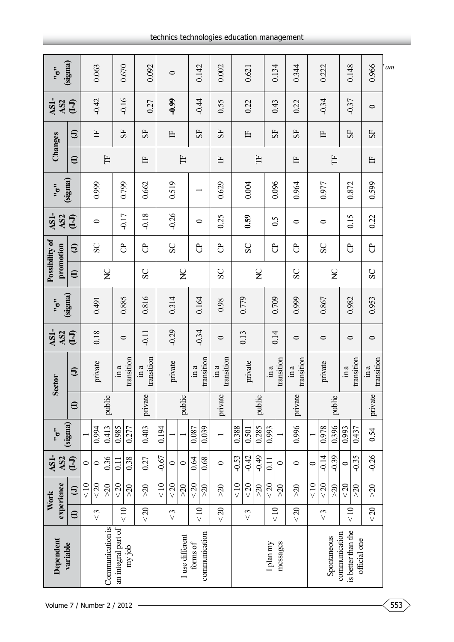| (sigma)<br>$\ddot{5}$<br>AS1-<br>AS <sub>2</sub><br>experience<br>Work |  |  |          | <b>Sector</b>                                 | AS1-<br>AS2 | (sigma)<br>$\ddot{5}$ | promotion                            | Possibility of | AS1-<br>AS <sub>2</sub> | (sigma)<br>$\ddot{5}$ |                        | Changes       | AS1-<br>AS <sub>2</sub> | (sigma)<br>$\ddot{\dot{\phantom{\phi}}\,\phantom{\ddot{\phi}}\,}$ |
|------------------------------------------------------------------------|--|--|----------|-----------------------------------------------|-------------|-----------------------|--------------------------------------|----------------|-------------------------|-----------------------|------------------------|---------------|-------------------------|-------------------------------------------------------------------|
| $(-1)$<br>$\Theta$<br>$\oplus$                                         |  |  | $\oplus$ | $\boldsymbol{\Theta}$                         | $(-1)$      |                       | $\oplus$                             | $\bm{\Theta}$  | $\overline{(-1)}$       |                       | $\widehat{\mathbf{e}}$ | $\bm{\Theta}$ | $(-1)$                  |                                                                   |
| $\circ$<br>$rac{10}{5}$                                                |  |  |          |                                               |             |                       |                                      |                |                         |                       |                        |               |                         |                                                                   |
| 0.994<br>$\circ$<br>$< 20$<br>$\lesssim$                               |  |  |          | private                                       | 0.18        | 0.491                 |                                      | SC             | $\bullet$               | 0.999                 |                        | 占             | $-0.42$                 | 0.063                                                             |
| 0.413<br>0.36<br>$\geqslant 0$                                         |  |  | public   |                                               |             |                       | $\rm \stackrel{\textstyle\sim}{\ge}$ |                |                         |                       | Ë                      |               |                         |                                                                   |
| 0.985<br>0.11<br>$< 20$<br>$\leq 10$                                   |  |  |          | $\sin a$                                      | $\circ$     | 0.885                 |                                      | පි             | $-0.17$                 |                       |                        | 55            | $-0.16$                 | 0.670                                                             |
| 0.277<br>0.38<br>$\lesssim$                                            |  |  |          | transition                                    |             |                       |                                      |                |                         | 0.799                 |                        |               |                         |                                                                   |
| 0.403<br>0.27<br>$>20$<br>$<20$                                        |  |  | private  | transition<br>$\mathop{\rm in}\nolimits a$    | $-0.11$     | 0.816                 | SC                                   | පි             | $-0.18$                 | 0.662                 | $\mathbb{H}$           | 55            | 0.27                    | 0.092                                                             |
| 0.194<br>$-0.67$<br>$<10$                                              |  |  |          |                                               |             |                       |                                      |                |                         |                       |                        |               |                         |                                                                   |
| $\circ$<br>$< 20$<br>$\lesssim$                                        |  |  |          | private                                       | $-0.29$     | 0.314                 |                                      | SC             | $-0.26$                 | 0.519                 |                        | $\mathbb{H}$  | $-0.99$                 | $\circ$                                                           |
| $\circ$<br>$\gtrsim$                                                   |  |  | public   |                                               |             |                       | $\sum_{i=1}^{n}$                     |                |                         |                       | Ë                      |               |                         |                                                                   |
| 0.087<br>0.64<br>$< 20$<br>$\leq 10$                                   |  |  |          | $\sin a$                                      | $-0.34$     |                       |                                      | පි             | 0                       |                       |                        | 55            | $-0.44$                 |                                                                   |
| 0.039<br>0.68<br>$\lesssim$                                            |  |  |          | transition                                    |             | 0.164                 |                                      |                |                         |                       |                        |               |                         | 0.142                                                             |
| private<br>$\circ$<br>$\approx$<br>$<20$                               |  |  |          | transition<br>$\mathop{\mathrm{in}}\nolimits$ | $\circ$     | 0.98                  | SC                                   | $\overline{c}$ | 0.25                    | 0.629                 | $\mathbb{H}$           | 55            | 0.55                    | 0.002                                                             |
| 0.388<br>$-0.53$<br>$\leq 10$                                          |  |  |          |                                               | 0.13        | 0.779                 |                                      |                |                         |                       |                        |               |                         |                                                                   |
| 0.501<br>$-0.42$<br>$< 20$<br>$\lesssim$                               |  |  |          | private                                       |             |                       |                                      | SC             | 0.59                    | 0.004                 |                        | 占             | 0.22                    | 0.621                                                             |
| 0.285<br>$-0.49$<br>$\lesssim$                                         |  |  | public   |                                               |             |                       | $\sum_{i=1}^{n}$                     |                |                         |                       | Ë                      |               |                         |                                                                   |
| 0.993<br>0.11<br>$20$<br>$rac{1}{\sqrt{2}}$                            |  |  |          | in a                                          | 0.14        | 0.709                 |                                      | පි             | $\widetilde{0.5}$       | 0.096                 |                        | 55            | 0.43                    | 0.134                                                             |
| $\circ$<br>$\approx 0$                                                 |  |  |          | transition                                    |             |                       |                                      |                |                         |                       |                        |               |                         |                                                                   |
| 0.996<br>$\circ$<br>$\lesssim$<br>$\leq$ 20                            |  |  | private  | transition<br>$\sin a$                        | $\circ$     | 0.999                 | SC                                   | පි             | $\circ$                 | 0.964                 | $\mathbb{H}$           | 55            | 0.22                    | 0.344                                                             |
| $\circ$<br>< 10                                                        |  |  |          |                                               |             |                       |                                      |                |                         |                       |                        |               |                         |                                                                   |
| 0.978<br>$-0.14$<br>$< 20$<br>$\lesssim$                               |  |  |          | private                                       | $\circ$     | 0.867                 |                                      | SC             | $\circ$                 | 0.977                 |                        | $\mathbb{H}$  | $-0.34$                 | 0.222                                                             |
| 0.396<br>$-0.39$<br>$\lesssim$                                         |  |  | public   |                                               |             |                       | $\overline{S}$                       |                |                         |                       | H                      |               |                         |                                                                   |
| 0.993<br>$\circ$<br>$20$                                               |  |  |          | $\mathop{\mathrm{im}}\nolimits a$             |             |                       |                                      |                |                         |                       |                        |               |                         |                                                                   |
| 0.437<br>$-0.35$<br>$>20$<br>$<10$                                     |  |  |          | transition                                    | $\circ$     | 0.982                 |                                      | පි             | 0.15                    | 0.872                 |                        | 55            | $-0.37$                 | 0.148                                                             |
| 0.54<br>$-0.26$<br>$\lesssim$<br>< 20                                  |  |  | private  | transition<br>$\sin a$                        | $\circ$     | 0.953                 | SC                                   | පි             | 0.22                    | 0.599                 | 甴                      | 55            | $\circ$                 | 0.966                                                             |
|                                                                        |  |  |          |                                               |             |                       |                                      |                |                         |                       |                        |               |                         | am                                                                |

## technics technologies education management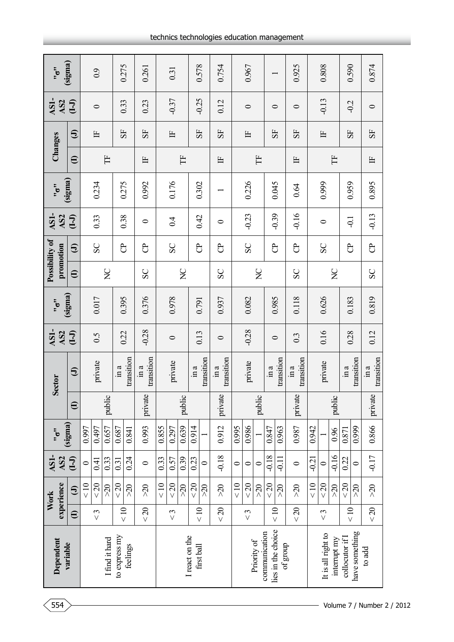| Dependent                           |                    | experience<br>Work          | AS1-<br>AS <sub>2</sub> | $\ddot{\ddot{\sigma}}$ |          | <b>Sector</b>                     | AS1-<br>AS <sub>2</sub> | $\ddot{\ddot{\sigma}}$ |                   | Possibility of<br>promotion | AS1-<br>AS <sub>2</sub> | $\ddot{5}$ |              | Changes      | AS1-<br>AS <sub>2</sub> | $\frac{1}{2}$ |
|-------------------------------------|--------------------|-----------------------------|-------------------------|------------------------|----------|-----------------------------------|-------------------------|------------------------|-------------------|-----------------------------|-------------------------|------------|--------------|--------------|-------------------------|---------------|
| variable                            | $\oplus$           | $\bigoplus$                 | $\overline{(-1)}$       | (sigma)                | $\oplus$ | $\bigoplus$                       | $\overline{(-1)}$       | (sigma)                | $\mathbf{\Theta}$ | $\oplus$                    | $\overline{(-1)}$       | (sigma)    | $\oplus$     | $\oplus$     | $\overline{(-1)}$       | (sigma)       |
|                                     |                    | < 10                        | $\circ$                 | 0.997                  |          |                                   |                         |                        |                   |                             |                         |            |              |              |                         |               |
|                                     | $\lesssim$         | $20$                        | 0.41                    | 0.497                  |          | private                           | 6.5                     | 0.017                  |                   | SC                          | 0.33                    | 0.234      |              | 占            | $\circ$                 | 0.9           |
| I find it hard                      |                    | $\approx 0$                 | 0.33                    | 0.657                  | public   |                                   |                         |                        | $\sum_{i=1}^{n}$  |                             |                         |            | Ë            |              |                         |               |
| to express my                       |                    | $20$                        | 0.31                    | 0.687                  |          | $\mathop{\mathrm{im}}\nolimits a$ |                         |                        |                   | පි                          |                         |            |              |              |                         |               |
| feelings                            | $rac{1}{\sqrt{2}}$ | $\approx$                   | 0.24                    | 0.841                  |          | transition                        | 0.22                    | 0.395                  |                   |                             | 0.38                    | 0.275      |              | 55           | 0.33                    | 0.275         |
|                                     | $< 20$             | $\approx$                   | $\circ$                 | 0.993                  | private  | transition<br>in a                | $-0.28$                 | 0.376                  | SC                | පි                          | 0                       | 0.992      | 占            | 55           | 0.23                    | 0.261         |
|                                     |                    | $\frac{1}{2}$               | 0.33                    | 0.855                  |          |                                   |                         |                        |                   |                             |                         |            |              |              |                         |               |
|                                     | $\lesssim$         | $20$                        | 0.57                    | 0.297                  |          | private                           | $\circ$                 | 0.978                  |                   | SC                          | 0.4                     | 0.176      |              | E            | $-0.37$                 | 0.31          |
|                                     |                    | $\lesssim$                  | 0.39                    | 0.639                  | public   |                                   |                         |                        | $\sum_{i=1}^{n}$  |                             |                         |            | Ë            |              |                         |               |
| I react on the<br>first ball        | $\leq 10$          | $<$ 20                      | 0.23                    | 0.914                  |          | in a                              | 0.13                    | 0.791                  |                   | පි                          | 0.42                    | 0.302      |              | 55           | $-0.25$                 | 0.578         |
|                                     |                    | $\lesssim$                  | $\circ$                 |                        |          | transition                        |                         |                        |                   |                             |                         |            |              |              |                         |               |
|                                     | $<20$              | $\lesssim$                  | $-0.18$                 | 0.912                  | private  | transition<br>ln a                | $\circ$                 | 0.937                  | SC                | පි                          | $\circ$                 |            | $\mathbb{H}$ | 55           | 0.12                    | 0.754         |
|                                     |                    | < 10                        | $\circ$                 | 0.995                  |          |                                   |                         |                        |                   |                             |                         |            |              |              |                         |               |
|                                     | $\lesssim$         | $20$                        | $\circ$                 | 0.986                  |          | private                           | $-0.28$                 | 0.082                  |                   | SC                          | $-0.23$                 | 0.226      |              | E            | $\circ$                 | 0.967         |
| Priority of                         |                    | $\lesssim$                  | $\circ$                 |                        | public   |                                   |                         |                        | $\sum_{i=1}^{n}$  |                             |                         |            | Ë            |              |                         |               |
| lies in the choice<br>communication | $\leq 10$          | $< 20$                      | $-0.18$                 | 0.847                  |          | $\sin a$                          | $\circ$                 | 0.985                  |                   | පි                          | $-0.39$                 | 0.045      |              | 55           | $\circ$                 |               |
| of group                            |                    | $\approx 0$                 | $-0.11$                 | 0.963                  |          | transition                        |                         |                        |                   |                             |                         |            |              |              |                         |               |
|                                     | $< 20$             | $\delta\!Z\!<$              | $\circ$                 | 0.987                  | private  | transition<br>$\sin a$            | 0.3                     | 0.118                  | SC                | පි                          | $-0.16$                 | 0.64       | $\mathbb{H}$ | 55           | $\circ$                 | 0.925         |
|                                     |                    | $rac{10}{5}$                | $-0.21$                 | 0.942                  |          |                                   |                         |                        |                   |                             |                         |            |              |              |                         |               |
| It is all right to                  | $\lesssim$         | $20$                        | $\circ$                 |                        |          | private                           | 0.16                    | 0.626                  |                   | SC                          | $\circ$                 | 0.999      |              | $\mathbb{H}$ | $-0.13$                 | 0.808         |
| interrupt my                        |                    | $\lesssim$                  | $-0.16$                 | 0.96                   | public   |                                   |                         |                        | $\sum_{i=1}^{n}$  |                             |                         |            | H            |              |                         |               |
| collocutor if I                     | $\frac{1}{2}$      | $20$                        | 0.22                    | 0.871                  |          | $\sin a$                          | 0.28                    | 0.183                  |                   | පි                          | $\overline{Q}$          | 0.959      |              | 55           | $-0.2$                  | 0.590         |
| have something                      |                    | $\approx 0$                 | $\circ$                 | 0.999                  |          | transition                        |                         |                        |                   |                             |                         |            |              |              |                         |               |
| to add                              | < 20               | $\delta\!Z\!\!\!\!\!\times$ | $-0.17$                 | 0.866                  | private  | transition<br>in a                | 0.12                    | 0.819                  | SC                | $\overline{c}$              | $-0.13$                 | 0.895      | $\mathbb{H}$ | 55           | $\circ$                 | 0.874         |

554 Volume 7 / Number 2 / 2012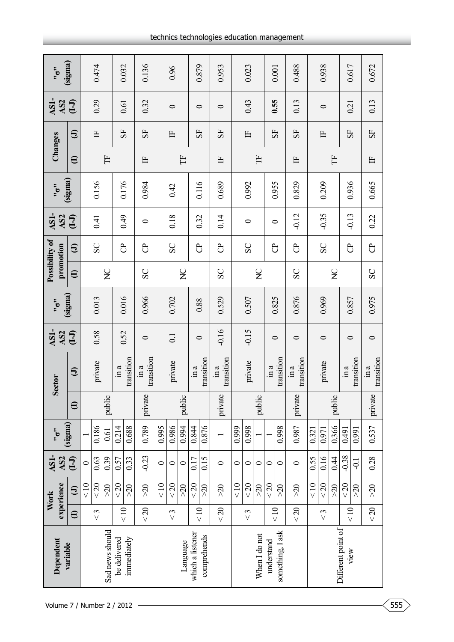| $\frac{1}{2}$                                          | (sigma)           |           | 0.474      |                 |               | 0.032       | 0.136                                      |              | 0.96             |                  |                  | 0.879       | 0.953              |           | 0.023      |                  | 0.001              |                  | 0.488              |              | 0.938   |                    | 0.617         |                | 0.672                  |
|--------------------------------------------------------|-------------------|-----------|------------|-----------------|---------------|-------------|--------------------------------------------|--------------|------------------|------------------|------------------|-------------|--------------------|-----------|------------|------------------|--------------------|------------------|--------------------|--------------|---------|--------------------|---------------|----------------|------------------------|
| AS1-<br>AS <sub>2</sub>                                | $\overline{(-1)}$ |           | 0.29       |                 |               | 0.61        | 0.32                                       |              | $\circ$          |                  | $\circ$          |             | $\circ$            |           | 0.43       |                  | 0.55               |                  | 0.13               |              | $\circ$ |                    | 0.21          |                | 0.13                   |
| Changes                                                | $\oplus$          |           | 占          |                 | 55            |             | 55                                         |              | 占                |                  | 55               |             | 55                 |           | 占          |                  | 55                 |                  | 55                 |              | 占       |                    | 55            |                | 55                     |
|                                                        | $\oplus$          |           |            | Ë               |               |             | 占                                          |              |                  | Ë                |                  |             | $\mathbb{H}$       |           |            | Ë                |                    |                  | 占                  |              |         | H                  |               |                | $\mathbb{H}$           |
| $\ddot{5}$                                             | (sigma)           |           | 0.156      |                 |               | 0.176       | 0.984                                      |              | 0.42             |                  |                  | 0.116       | 0.689              |           | 0.992      |                  | 0.955              |                  | 0.829              |              | 0.209   |                    | 0.936         |                | 0.665                  |
| AS1-<br>AS <sub>2</sub>                                | $\overline{(-1)}$ |           | 0.41       |                 |               | 64.0        | 0                                          |              | 0.18             |                  |                  | 0.32        | 0.14               |           | ᅌ          |                  | $\circ$            |                  | $-0.12$            |              | $-0.35$ |                    | $-0.13$       |                | 0.22                   |
| Possibility of<br>promotion                            | $\bm{\Theta}$     |           | SC         |                 | පි            |             | පි                                         |              | SC               |                  | පි               |             | පි                 |           | SC         |                  | පි                 |                  | පි                 |              | SC      |                    | පි            |                | පි                     |
|                                                        | $\oplus$          |           |            | $\sum$          |               |             | SC                                         |              |                  | $\sum_{i=1}^{n}$ |                  |             | SC                 |           |            | $\sum_{i=1}^{n}$ |                    |                  | SC                 |              |         | $\mathsf{S}$       |               |                | SC                     |
| $\ddot{\cdot}$                                         | (sigma)           |           | 0.013      |                 |               | 0.016       | 0.966                                      |              | 0.702            |                  |                  | 0.88        | 0.529              |           | 0.507      |                  | 0.825              |                  | 0.876              |              | 0.969   |                    | 0.857         |                | 0.975                  |
| AS1-<br>AS <sub>2</sub>                                | $(-1)$            |           | 0.58       |                 |               | 0.52        | $\circ$                                    |              | $\overline{0}$ . |                  |                  | $\circ$     | $-0.16$            |           | $-0.15$    |                  | $\circ$            |                  | $\circ$            |              | $\circ$ |                    | $\circ$       |                | $\circ$                |
| <b>Sector</b>                                          | $\bigoplus$       |           | private    |                 | $\sin a$      | transition  | transition<br>$\mathop{\rm im}\nolimits a$ |              | private          |                  | $\sin a$         | transition  | transition<br>ln a |           | private    |                  | $\sin a$           | transition       | transition<br>in a |              | private |                    | $\sin a$      | transition     | transition<br>$\sin a$ |
|                                                        | $\oplus$          |           |            | public          |               |             | private                                    |              |                  | public           |                  |             | private            |           |            | public           |                    |                  | private            |              |         | public             |               |                | private                |
| $\ddot{\dot{\phantom{\phi}}\,\phantom{\ddot{\phi}}\,}$ | (sigma)           |           | 0.186      | 0.61            | 0.214         | 0.688       | 0.789                                      | 0.995        | 0.986            | 0.994            | 0.844            | 0.876       |                    | 0.999     | 0.998      |                  |                    | 0.998            | 0.987              | 0.321        | 0.971   | 0.366              | 0.491         | 0.991          | 0.537                  |
| AS1-<br>AS <sub>2</sub>                                | $\overline{(-1)}$ | $\circ$   | 0.63       | 0.39            | 0.57          | 0.33        | $-0.23$                                    | $\circ$      | $\circ$          | $\circ$          | 0.17             | 0.15        | $\circ$            | $\circ$   | $\circ$    | $\circ$          | $\circ$            | 0                | $\circ$            | 0.55         | 0.16    | 0.44               | $-0.38$       | $\overline{Q}$ | 0.28                   |
| experience<br>Work                                     | $\bm{\Theta}$     | $\leq 10$ | $20$       | $\approx 0$     | $<20$         | $>20$       | $>20$                                      | $rac{10}{5}$ | $< 20$           | $\lesssim$       | $< 20$           | $\lesssim$  | $\approx$          | $\leq 10$ | $\!<\!20$  | $\lesssim$       | $< 20$             | $\lesssim$       | $>20$              | $rac{10}{5}$ | $20$    | $>20$              | $20$          | $>20$          | $>20$                  |
|                                                        | $\mathbf{\Theta}$ |           | $\lesssim$ |                 | $\frac{1}{2}$ |             | $< 20$                                     |              | $\lesssim$       |                  | $\leq 10$        |             | $< 20$             |           | $\lesssim$ |                  | $rac{1}{\sqrt{2}}$ |                  | $< 20$             |              | $\leq$  |                    | $\frac{1}{2}$ |                | $<20$                  |
| Dependent                                              | variable          |           |            | Sad news should | be delivered  | immediately |                                            |              |                  | Language         | which a listener | comprehends |                    |           |            | When I do not    | understand         | something, I ask |                    |              |         | Different point of | view          |                |                        |
| Volume 7 / Number 2 / 2012                             |                   |           |            |                 |               |             |                                            |              |                  |                  |                  |             |                    |           |            |                  |                    |                  |                    |              |         |                    |               |                |                        |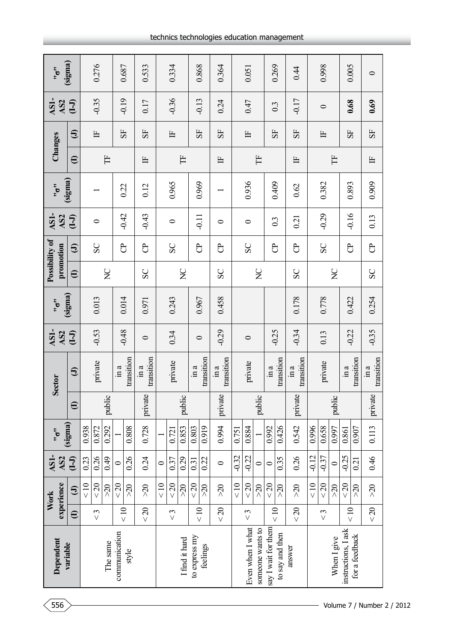| $\frac{1}{2}$                                          | (sigma)                |           | 0.276      |                  |               | 0.687      | 0.533                                 |         | 0.334      |                  | 0.868              |            | 0.364                                 |         | 0.051            |                  |                         | 0.269           | 0.44                   |         | 0.998         |                  | 0.005               |                | $\circ$                |
|--------------------------------------------------------|------------------------|-----------|------------|------------------|---------------|------------|---------------------------------------|---------|------------|------------------|--------------------|------------|---------------------------------------|---------|------------------|------------------|-------------------------|-----------------|------------------------|---------|---------------|------------------|---------------------|----------------|------------------------|
| AS1-<br>AS <sub>2</sub>                                | $\overline{(-1)}$      |           | $-0.35$    |                  |               | $-0.19$    | 0.17                                  |         | $-0.36$    |                  | $-0.13$            |            | 0.24                                  |         | 0.47             |                  | $0.\overline{3}$        |                 | $-0.17$                |         | $\circ$       |                  | 0.68                |                | 0.69                   |
| Changes                                                | $\bm{\Theta}$          |           | 占          |                  |               | 55         | 55                                    |         | Ë          |                  | 55                 |            | 55                                    |         | 甴                |                  | 55                      |                 | 55                     |         | 占             |                  | 55                  |                | 55                     |
|                                                        | $\widehat{\mathbf{e}}$ |           |            | Ë                |               |            | Ë                                     |         |            | Ë                |                    |            | $\mathbb{H}$                          |         |                  | Ë                |                         |                 | 甴                      |         |               | Ë                |                     |                | 白                      |
| $\ddot{\dot{\phantom{\phi}}\,\phantom{\ddot{\phi}}\,}$ | (sigma)                |           |            |                  |               | 0.22       | 0.12                                  |         | 0.965      |                  | 0.969              |            |                                       |         | 0.936            |                  |                         | 0.409           | 0.62                   |         | 0.382         |                  | 0.893               |                | 0.909                  |
| AS1-<br>AS <sub>2</sub>                                | $(-1)$                 |           | $\bullet$  |                  |               | $-0.42$    | $-0.43$                               |         | $\bullet$  |                  | $-0.11$            |            | $\circ$                               |         | $\bullet$        |                  | $0.\overline{3}$        |                 | 0.21                   |         | $-0.29$       |                  | $-0.16$             |                | 0.13                   |
| Possibility of<br>promotion                            | $\bm{\Theta}$          |           | SC         |                  | පි            |            | පි                                    |         | SC         |                  | පි                 |            | පි                                    |         | SC               |                  | පි                      |                 | පි                     |         | SC            |                  | පි                  |                | පි                     |
|                                                        | $\mathbf{\Theta}$      |           |            | $\sum_{i=1}^{n}$ |               |            | SC                                    |         |            | $\sum_{i=1}^{n}$ |                    |            | SC                                    |         |                  | $\sum_{i=1}^{n}$ |                         |                 | SC                     |         |               | $\sum_{i=1}^{n}$ |                     |                | SC                     |
| $\ddot{\cdot}$                                         | (sigma)                |           | 0.013      |                  |               | 0.014      | 0.971                                 |         | 0.243      |                  | 0.967              |            | 0.458                                 |         |                  |                  |                         |                 | 0.178                  |         | 0.778         |                  | 0.422               |                | 0.254                  |
| AS1-<br>AS <sub>2</sub>                                | $(-1)$                 |           | $-0.53$    |                  |               | $-0.48$    | $\circ$                               |         | 0.34       |                  | $\circ$            |            | $-0.29$                               |         | $\circ$          |                  | $-0.25$                 |                 | $-0.34$                |         | 0.13          |                  | $-0.22$             |                | $-0.35$                |
| <b>Sector</b>                                          | $\oplus$               |           | private    |                  | $\sin a$      | transition | transition<br>$\overline{\text{m}}$ a |         | private    |                  | $\sin a$           | transition | transition<br>$\overline{\text{m}}$ a |         | private          |                  | $\overline{\text{m}}$ a | transition      | transition<br>$\sin a$ |         | private       |                  | $\sin a$            | transition     | transition<br>$\sin a$ |
|                                                        | $\oplus$               |           |            | public           |               |            | private                               |         |            | public           |                    |            | private                               |         |                  | public           |                         |                 | private                |         |               | public           |                     |                | private                |
| $\ddot{\ddot{\sigma}}$                                 | (sigma)                | 0.938     | 0.872      | 0.292            |               | 0.808      | 0.728                                 |         | 0.721      | 0.853            | 0.803              | 0.919      | 0.994                                 | 0.751   | 0.884            |                  | 0.992                   | 0.426           | 0.542                  | 0.996   | 0.658         | 0.997            | 0.861               | 0.907          | 0.113                  |
| AS1-<br>AS <sub>2</sub>                                | $\overline{(-1)}$      | 0.23      | 0.26       | 649              | $\circ$       | 0.26       | 0.24                                  | $\circ$ | 0.37       | 0.29             | 0.31               | 0.22       | $\circ$                               | $-0.32$ | $-0.22$          | $\circ$          | $\circ$                 | 0.35            | 0.26                   | $-0.12$ | $-0.37$       | $\circ$          | $-0.25$             | 0.21           | 0.46                   |
| experience<br>Work                                     | $\oplus$               | $\leq 10$ | $20$       | $\%$             | $20$          | $>20$      | $>20$                                 | < 10    | $20$       | $\lesssim$       | $20$               | $\Im z$    | $\approx 0$                           | < 10    | $20$             | $\lesssim$       | < 20                    | $\%$            | $\Im z$                | < 10    | $20$          | $\lesssim$       | $20$                | $\sim 20$      | $\lesssim$             |
|                                                        | $\mathbf{\Theta}$      |           | $\lesssim$ |                  | < 10          |            | $< 20$                                |         | $\lesssim$ |                  | $rac{1}{\sqrt{2}}$ |            | $20$                                  |         | $\lesssim$       |                  | $\leq 10$               |                 | $20$                   |         | $\frac{3}{5}$ |                  | $\frac{1}{2}$       |                | < 20                   |
| Dependent                                              | variable               |           |            | The same         | communication | style      |                                       |         |            | I find it hard   | to express my      | feelings   |                                       |         | Even when I what | someone wants to | say I wait for them     | to say and then | answer                 |         |               | When I give      | instructions, I ask | for a feedback |                        |

## technics technologies education management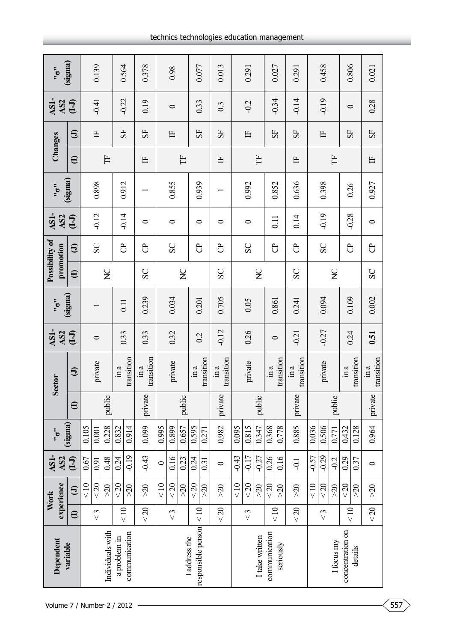| $\frac{1}{2}$                                          | (sigma)           |           | 0.139      |                  | 0.564         |               | 0.378                                 |              | 0.98       |                  | 0.077                               |            | 0.013              |         | 0.291      |                  | 0.027         |            | 0.291              |         | 0.458    |                  | 0.806            |            | 0.021                        |
|--------------------------------------------------------|-------------------|-----------|------------|------------------|---------------|---------------|---------------------------------------|--------------|------------|------------------|-------------------------------------|------------|--------------------|---------|------------|------------------|---------------|------------|--------------------|---------|----------|------------------|------------------|------------|------------------------------|
| AS1-<br>AS <sub>2</sub>                                | $\overline{(-1)}$ |           | $-0.41$    |                  | $-0.22$       |               | 0.19                                  |              | $\circ$    |                  | 0.33                                |            | $0.\overline{3}$   |         | $-0.2$     |                  | $-0.34$       |            | $-0.14$            |         | $-0.19$  |                  | $\circ$          |            | 0.28                         |
| Changes                                                | $\oplus$          |           | 占          |                  | 55            |               | 55                                    |              | 占          |                  | 55                                  |            | 55                 |         | 占          |                  | 55            |            | 55                 |         | 占        |                  | 55               |            | 55                           |
|                                                        | $\oplus$          |           |            | Ë                |               |               | 占                                     |              |            | Ë                |                                     |            | 占                  |         |            | Ë                |               |            | 占                  |         |          | Ë                |                  |            | $\mathbb{H}$                 |
| $\ddot{\dot{\phantom{0}}}\circ$                        | (sigma)           |           | 0.898      |                  | 0.912         |               |                                       |              | 0.855      |                  | 0.939                               |            |                    |         | 0.992      |                  | 0.852         |            | 0.636              |         | 0.398    |                  | 0.26             |            | 0.927                        |
| AS1-<br>AS <sub>2</sub>                                | $\overline{(-1)}$ |           | $-0.12$    |                  |               | $-0.14$       | 0                                     |              | $\circ$    |                  | $\circ$                             |            | $\bullet$          |         | $\bullet$  |                  | 0.11          |            | 0.14               |         | $-0.19$  |                  | $-0.28$          |            | $\circ$                      |
| Possibility of<br>promotion                            | $\bm{\Theta}$     |           | SC         |                  | පි            |               | පි                                    |              | SC         |                  | පි                                  |            | පි                 |         | SC         |                  | පි            |            | පි                 |         | SC       |                  | $\overline{c}$   |            | පි                           |
|                                                        | $\oplus$          |           |            | $\sum$           |               |               | SC                                    |              |            | $\sum_{i=1}^{n}$ |                                     |            | SC                 |         |            | $\sum_{i=1}^{n}$ |               |            | SC                 |         |          | $\sum_{i=1}^{n}$ |                  |            | SC                           |
| $\ddot{\cdot}$                                         | (sigma)           |           |            |                  | 0.11          |               | 0.239                                 |              | 0.034      |                  | 0.201                               |            | 0.705              |         | 0.05       |                  | 0.861         |            | 0.241              |         | 0.094    |                  | 0.109            |            | 0.002                        |
| AS1-<br>AS <sub>2</sub>                                | $(-1)$            |           | $\circ$    |                  |               | 0.33          | 0.33                                  |              | 0.32       |                  | 0.2                                 |            | $-0.12$            |         | 0.26       |                  | $\circ$       |            | $-0.21$            |         | $-0.27$  |                  | 0.24             |            | 0.51                         |
| <b>Sector</b>                                          | $\bigoplus$       |           | private    |                  | $\sin a$      | transition    | transition<br>$\overline{\text{m}}$ a |              | private    |                  | $\sin a$                            | transition | transition<br>ln a |         | private    |                  | $\sin a$      | transition | transition<br>in a |         | private  |                  | in a             | transition | transition<br>$\mathbf{m}$ a |
|                                                        | $\oplus$          |           |            | public           |               |               | private                               |              |            | public           |                                     |            | private            |         |            | public           |               |            | private            |         |          | public           |                  |            | private                      |
| $\ddot{\dot{\phantom{\phi}}\,\phantom{\ddot{\phi}}\,}$ | (sigma)           | 0.105     | 0.001      | 0.228            | 0.832         | 0.914         | 0.099                                 | 0.995        | 0.899      | 0.657            | 0.595                               | 0.271      | 0.982              | 0.095   | 0.815      | 0.347            | 0.368         | 0.778      | 0.885              | 0.036   | 0.506    | 0.771            | 0.432            | 0.128      | 0.964                        |
| AS1-<br>AS <sub>2</sub>                                | $\overline{(-1)}$ | 0.67      | 0.91       | 0.48             | 0.24          | $-0.19$       | $-0.43$                               | $\circ$      | 0.16       | 0.23             | 0.24                                | 0.31       | $\circ$            | $-0.43$ | $-0.17$    | $-0.27$          | 0.26          | 0.16       | $-1$               | $-0.57$ | $-0.29$  | $-0.2$           | 0.29             | 0.37       | $\circ$                      |
| experience<br>Work                                     | $\bm{\Theta}$     | $\leq 10$ | $20$       | $\approx$        | $< 20$        | $\lesssim$    | $>20$                                 | $rac{10}{5}$ | $< 20$     | $\lesssim$       | $< 20$                              | $\lesssim$ | $\approx 0$        | < 10    | $< 20$     | $\lesssim$       | $<20$         | $>20$      | $>20$              | < 10    | $<20$    | $\lesssim$       | $20$             | $>20$      | $>20$                        |
|                                                        | $\mathbf{\Theta}$ |           | $\lesssim$ |                  | $\frac{1}{2}$ |               | $< 20$                                |              | $\lesssim$ |                  | 10 <sub>z</sub>                     |            | $< 20$             |         | $\lesssim$ |                  | $rac{10}{5}$  |            | $< 20$             |         | $\leq 3$ |                  | $\frac{1}{2}$    |            | $<20$                        |
| Dependent                                              | variable          |           |            | Individuals with | a problem in  | communication |                                       |              |            |                  | responsible person<br>I address the |            |                    |         |            | I take written   | communication | seriously  |                    |         |          | I focus my       | concentration on | details    |                              |
| Volume 7 / Number 2 / 2012                             |                   |           |            |                  |               |               |                                       |              |            |                  |                                     |            |                    |         |            |                  |               |            |                    |         |          |                  |                  |            |                              |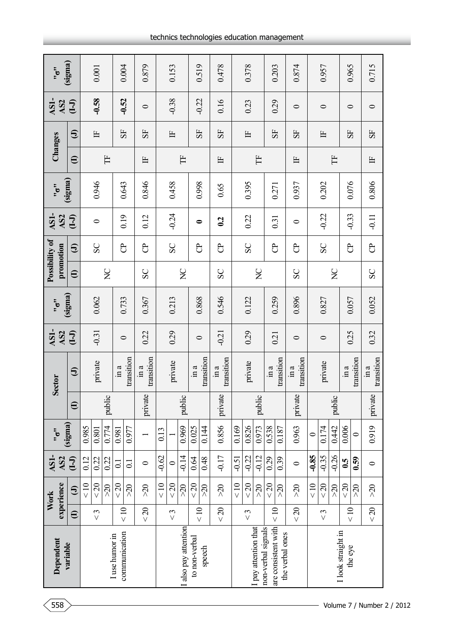| experience<br>Work                                                 |  | AS1-<br>AS <sub>2</sub> | $\ddot{\dot{\phantom{\phi}}\,\phantom{\ddot{\phi}}\,}$ |          | <b>Sector</b>                                   | AS1-<br>AS <sub>2</sub> | $\frac{1}{2}$ | Possibility of<br>promotion |           | AS1-<br>AS <sub>2</sub> | $\frac{1}{2}$ | Changes                |               | AS1-<br>AS <sub>2</sub> | $\frac{1}{2}$ |
|--------------------------------------------------------------------|--|-------------------------|--------------------------------------------------------|----------|-------------------------------------------------|-------------------------|---------------|-----------------------------|-----------|-------------------------|---------------|------------------------|---------------|-------------------------|---------------|
| (sigma)<br>$\overline{(-1)}$<br>$\bm{\Theta}$<br>$\mathbf{\Theta}$ |  |                         |                                                        | $\oplus$ | $\bigoplus$                                     | $(-1)$                  | (sigma)       | $\oplus$                    | $\ominus$ | $\overline{(-1)}$       | (sigma)       | $\widehat{\mathbf{e}}$ | $\bm{\Theta}$ | $\overline{(-1)}$       | (sigma)       |
| 0.985<br>0.12<br>$\leq 10$                                         |  |                         |                                                        |          |                                                 |                         |               |                             |           |                         |               |                        |               |                         |               |
| 0.801<br>0.22<br>$20$<br>$\lesssim$                                |  |                         |                                                        |          | private                                         | $-0.31$                 | 0.062         |                             | SC        | $\bullet$               | 0.946         |                        | 占             | $-0.58$                 | $0.001\,$     |
| 0.774<br>0.22<br>$\approx$                                         |  |                         |                                                        | public   |                                                 |                         |               | $\sum_{i=1}^{n}$            |           |                         |               | Ë                      |               |                         |               |
| 0.981<br>$\overline{\circ}$<br>$20$<br>$rac{1}{\sqrt{2}}$          |  |                         |                                                        |          | $\sin a$                                        | $\circ$                 | 0.733         |                             | පි        | 0.19                    | 0.643         |                        | 55            | $-0.52$                 | 0.004         |
| 0.977<br>$\Xi$<br>$\approx$                                        |  |                         |                                                        |          | transition                                      |                         |               |                             |           |                         |               |                        |               |                         |               |
| $\circ$<br>$\approx 0$<br>$< 20$                                   |  |                         |                                                        | private  | transition<br>in a                              | 0.22                    | 0.367         | SC                          | පි        | 0.12                    | 0.846         | Ë                      | 55            | $\circ$                 | 0.879         |
| 0.13<br>$-0.62$<br>< 10                                            |  |                         |                                                        |          |                                                 |                         |               |                             |           |                         |               |                        |               |                         |               |
| $\circ$<br>$20$<br>$\lesssim$                                      |  |                         |                                                        |          | private                                         | 0.29                    | 0.213         |                             | SC        | $-0.24$                 | 0.458         |                        | 占             | $-0.38$                 | 0.153         |
| 0.969<br>$-0.14$<br>$\lesssim$                                     |  |                         |                                                        | public   |                                                 |                         |               | $\sum_{i=1}^{n}$            |           |                         |               | Ë                      |               |                         |               |
| 0.025<br>0.64<br>$20$<br>$\frac{1}{2}$                             |  |                         |                                                        |          | $\mathop{\mathrm{im}}\nolimits a$               | $\circ$                 | 0.868         |                             | පි        | $\bullet$               | 0.998         |                        | 55            | $-0.22$                 | 0.519         |
| 0.144<br>0.48<br>$\Im z$                                           |  |                         |                                                        |          | transition                                      |                         |               |                             |           |                         |               |                        |               |                         |               |
| private<br>0.856<br>$-0.17$<br>$\approx 0$<br>$< 20$               |  |                         |                                                        |          | transition<br>$\ln a$                           | $-0.21$                 | 0.546         | SC                          | පි        | $\mathbf{c}$            | 0.65          | $\mathbb{H}$           | 55            | 0.16                    | 0.478         |
| 0.169<br>$-0.51$<br>< 10                                           |  |                         |                                                        |          |                                                 |                         |               |                             |           |                         |               |                        |               |                         |               |
| 0.826<br>$-0.22$<br>$20$<br>$\lesssim$                             |  |                         |                                                        |          | private                                         | 0.29                    | 0.122         |                             | SC        | 0.22                    | 0.395         |                        | 甴             | 0.23                    | 0.378         |
| 0.973<br>$-0.12$<br>$\approx 0$                                    |  |                         |                                                        | public   |                                                 |                         |               | $\mathbf{S}$                |           |                         |               | Ë                      |               |                         |               |
| 0.538<br>0.29<br>$20$<br>< 10                                      |  |                         |                                                        |          | in a                                            | 0.21                    | 0.259         |                             | පි        | 0.31                    | 0.271         |                        | 55            | 0.29                    | 0.203         |
| 0.187<br>0.39<br>$\approx$                                         |  |                         |                                                        |          | transition                                      |                         |               |                             |           |                         |               |                        |               |                         |               |
| 0.963<br>$\circ$<br>$\Im z$<br>$20$                                |  |                         |                                                        | private  | transition<br>$\mathop{\mathrm{im}}\nolimits a$ | $\circ$                 | 0.896         | SC                          | පි        | $\circ$                 | 0.937         | 甴                      | 55            | $\circ$                 | 0.874         |
| $\circ$<br>$-0.85$<br>< 10                                         |  |                         |                                                        |          |                                                 |                         |               |                             |           |                         |               |                        |               |                         |               |
| 0.174<br>$-0.35$<br>$\lesssim 20$<br>$\lesssim$                    |  |                         |                                                        |          | private                                         | $\circ$                 | 0.827         |                             | SC        | $-0.22$                 | 0.202         |                        | Ë             | $\circ$                 | 0.957         |
| 0.442<br>$-0.26$<br>$\approx$                                      |  |                         |                                                        | public   |                                                 |                         |               | $\sum_{i=1}^{n}$            |           |                         |               | Ë                      |               |                         |               |
| 0.006<br>$\mathbf{6.5}$<br>$20$<br>$rac{10}{x}$                    |  |                         |                                                        |          | $\ln a$                                         | 0.25                    | 0.057         |                             | පි        | $-0.33$                 | 0.076         |                        | 55            | $\bullet$               | 0.965         |
| $\circ$<br>0.59<br>$>20$                                           |  |                         |                                                        |          | transition                                      |                         |               |                             |           |                         |               |                        |               |                         |               |
| 0.919<br>$\circ$<br>$\sim 20$<br>$<20$                             |  |                         |                                                        | private  | transition<br>$\mathbb{m}$ a                    | 0.32                    | 0.052         | SC                          | පි        | $-0.11$                 | 0.806         | $\mathbb{H}$           | 55            | $\circ$                 | 0.715         |

 $\sim$  558  $>$  Volume 7 / Number 2 / 2012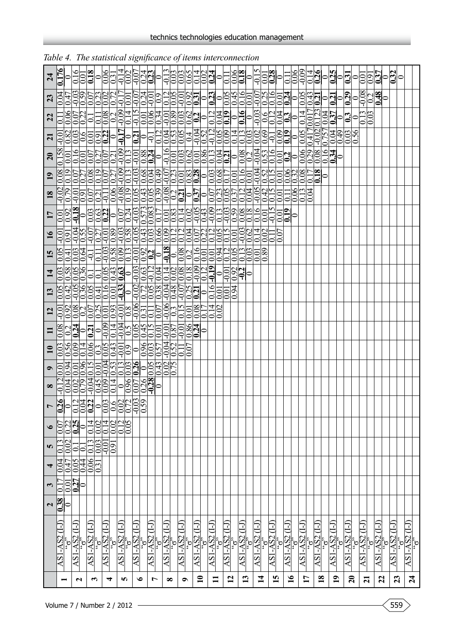| $\overline{24}$   | 0.176              | $\mathbf{C}$       | $\frac{91}{6}$<br>0.01                 | 0.18                                                                  | $\circ$                                                       | $\frac{66}{0.31}$                         | $-0.14$                    | 0.02                                      |                |                                                   | $\frac{10}{10}$                                                         |                                  |                           |                                    |                                       |                           | $\frac{0.02}{0.24}$         | $\overline{0}$                                | $\overline{1}$ |                                           | $\frac{0.06}{0.18}$                     | $\circ$           | $-0.15$                   | $\frac{1}{\sqrt{2}}$ |                     | $\overline{01}$<br>$\circ$ | 0.06                      | $-0.09$          |                     | $\frac{9.14}{1.26}$  |                 |                                     |         | $\left \circ_{\mathbf{a}}^{\mathbf{a}}\circ_{\mathbf{a}}^{\mathbf{a}}\right $ |                      | 0.0                 | $\frac{55}{10}$ |              | $\frac{0}{0.32}$ |         |                  |                                   |
|-------------------|--------------------|--------------------|----------------------------------------|-----------------------------------------------------------------------|---------------------------------------------------------------|-------------------------------------------|----------------------------|-------------------------------------------|----------------|---------------------------------------------------|-------------------------------------------------------------------------|----------------------------------|---------------------------|------------------------------------|---------------------------------------|---------------------------|-----------------------------|-----------------------------------------------|----------------|-------------------------------------------|-----------------------------------------|-------------------|---------------------------|----------------------|---------------------|----------------------------|---------------------------|------------------|---------------------|----------------------|-----------------|-------------------------------------|---------|-------------------------------------------------------------------------------|----------------------|---------------------|-----------------|--------------|------------------|---------|------------------|-----------------------------------|
| 23                | 0.04               | 0.47               |                                        | 33533255<br>900000000                                                 |                                                               |                                           |                            |                                           |                |                                                   |                                                                         |                                  |                           |                                    |                                       |                           |                             |                                               |                |                                           | 0.16                                    | $\overline{0.01}$ | $\frac{0.07}{0.25}$       |                      |                     |                            |                           |                  |                     |                      |                 |                                     |         |                                                                               |                      | $-0.08$             | $\frac{1}{2}$   |              | 0                |         |                  |                                   |
| 22                | $\overline{\circ}$ | 0.06               | $\frac{0.07}{0.22}$                    | $\overline{\phantom{0}}$                                              | 0.11                                                          | <u>eddelai</u><br><mark>Soladi</mark>     |                            |                                           |                |                                                   |                                                                         |                                  |                           |                                    |                                       |                           |                             |                                               |                |                                           |                                         |                   |                           |                      |                     |                            | $\overline{a}$            | 0.14             | 0.017               | $\frac{0.123}{0.04}$ |                 |                                     | $\circ$ | $\overline{\mathbf{C}}$                                                       | $\circ$              | $\frac{0.13}{0.03}$ |                 |              |                  |         |                  |                                   |
| $\overline{z}$    | $-0.01$            | $\frac{82}{0.03}$  |                                        | $\overline{0.6}$                                                      | <u>de<mark>da</mark></u><br><u>de<mark>da</mark><br/>deda</u> |                                           |                            |                                           | $\frac{1}{10}$ |                                                   |                                                                         |                                  |                           |                                    | 432198<br> -<br> -<br> -              |                           |                             |                                               |                |                                           | <u>4  1  8  8  8 </u><br> 0  0  0  0  0 |                   |                           |                      | $\overline{5}$      | $\frac{0.09}{0.19}$        |                           | $\frac{0}{0.05}$ | 0.417               | $\frac{0.02}{0.757}$ |                 | 0.04                                | 64.0    | $\overline{0.03}$                                                             | $\frac{95}{5}$<br>lo |                     |                 |              |                  |         |                  |                                   |
| $\overline{20}$   | $\overline{0.158}$ | 0.01               | $\overline{0.16}$<br>0.01              |                                                                       | 5  2  2  2 <br> 0  2  2  2  2  2                              |                                           |                            | $\overline{0.13}$                         |                |                                                   | $\frac{1}{\frac{1}{\frac{1}{\sqrt{10}}}}$                               |                                  |                           |                                    |                                       |                           |                             |                                               |                |                                           |                                         |                   |                           |                      |                     | $\frac{0}{10}$             | $\circ$                   |                  | $\frac{66}{0.29}$   | $\overline{0.08}$    | $\frac{15}{10}$ |                                     | $\circ$ |                                                                               |                      |                     |                 |              |                  |         |                  |                                   |
| $\overline{19}$   | 0.08               | 0.19               | 0.07<br>$\overline{027}$               |                                                                       | 8955893839533829838085595<br>000000000000000000000000         |                                           |                            |                                           |                |                                                   |                                                                         |                                  |                           |                                    |                                       |                           |                             |                                               |                |                                           |                                         |                   | $\frac{33}{10.52}$        |                      |                     | $\frac{0.01}{0.0000}$      |                           |                  | $\tilde{\Theta}$    | $\overline{0.18}$    |                 |                                     |         |                                                                               |                      |                     |                 |              |                  |         |                  |                                   |
| 18                | $-0.02$            | $\overline{0.79}$  |                                        | $\frac{1001}{0.91}$<br>$\frac{0.07}{0.21}$                            |                                                               | $\overline{\Xi}$                          | 0.08<br>0.09<br>0.19       |                                           |                |                                                   |                                                                         |                                  |                           |                                    |                                       |                           |                             |                                               |                |                                           |                                         |                   | $\frac{0.05}{0.42}$       |                      |                     | 0.01<br>$\overline{0}$     | 0.06                      |                  | $\frac{13}{100}$    |                      |                 |                                     |         |                                                                               |                      |                     |                 |              |                  |         |                  |                                   |
| $\overline{17}$   | 0.01               | $\frac{60}{2}$     | $-0.18$                                |                                                                       |                                                               |                                           |                            |                                           |                |                                                   |                                                                         |                                  |                           |                                    |                                       |                           |                             |                                               |                |                                           |                                         |                   |                           | $\overline{0.01}$    | $\overline{615}$    | $\frac{61}{9}$<br>0.01     | 0                         |                  |                     |                      |                 |                                     |         |                                                                               |                      |                     |                 |              |                  |         |                  |                                   |
| $\overline{16}$   | $\frac{1}{2}$      | $\overline{0.91}$  |                                        | $\frac{0.04}{0.55}$<br>$\frac{0.07}{0.27}$                            |                                                               | $\frac{60}{10.01}$                        |                            |                                           |                |                                                   |                                                                         |                                  |                           |                                    |                                       |                           |                             |                                               |                |                                           | 3011<br> <br>  0011<br>  0011           |                   |                           | $\frac{1}{0.02}$     | $\frac{0.11}{0.07}$ | $\overline{0}$             |                           |                  |                     |                      |                 |                                     |         |                                                                               |                      |                     |                 |              |                  |         |                  |                                   |
| 15                | $\overline{0.05}$  | (1, 0)             | $\overline{9.64}$<br>$\overline{0.03}$ | $\overline{q}$                                                        | $\overline{\square}$                                          | 32001001<br>00000001                      |                            |                                           |                |                                                   |                                                                         | $\boxed{\frac{8}{10}}$           |                           |                                    | $\frac{1}{\frac{1}{0.08}}$            |                           | $\overline{0.01}$           | $\frac{100}{100}$                             |                |                                           | 1  <br> 0  0  0 <br> 0  0  0            | $\overline{0.03}$ | 0.01                      | 89<br>lo             |                     |                            |                           |                  |                     |                      |                 |                                     |         |                                                                               |                      |                     |                 |              |                  |         |                  |                                   |
| 14                | 0.03               |                    | 38<br>0036                             | $\overline{0}$                                                        | $\overline{0.1}$                                              | $\frac{0.05}{0.43}$                       |                            |                                           |                | $\frac{0.03}{0.03}$                               |                                                                         | $\overline{0.04}$                |                           |                                    | 140888019<br>0000000 <mark>019</mark> |                           |                             | $\bullet$                                     |                | $\frac{70}{100}$<br>$\frac{10}{10}$       |                                         | 0                 |                           |                      |                     |                            |                           |                  |                     |                      |                 |                                     |         |                                                                               |                      |                     |                 |              |                  |         |                  |                                   |
| 13                | $\overline{0.05}$  | $\underline{0.42}$ | $-0.05$                                | $\frac{0.36}{0.05}$                                                   | 0.41                                                          | $\frac{6}{100}$                           |                            |                                           |                |                                                   |                                                                         | <u>angazia</u><br>Shoqiqid       |                           |                                    | $\frac{1}{20}$                        |                           | 0.16                        | $\overline{0.01}$                             | 0.01           | $\overline{5}$<br>10.                     |                                         |                   |                           |                      |                     |                            |                           |                  |                     |                      |                 |                                     |         |                                                                               |                      |                     |                 |              |                  |         |                  |                                   |
| 12                | <u>၁၁</u>          | $\overline{0.92}$  | $\frac{800}{9}$                        | $\frac{1}{\sqrt{\frac{0.07}{0.25}}}$                                  |                                                               | $\frac{0.01}{0.93}$                       |                            | $\frac{100}{108}$                         |                |                                                   | $\frac{0.06}{0.31}$                                                     |                                  | $\frac{0.06}{0.15}$       |                                    | $\overline{0.01}$                     | 0.08                      | $\overline{4}$<br>0.<br> C. | $\Omega$<br>0                                 |                |                                           |                                         |                   |                           |                      |                     |                            |                           |                  |                     |                      |                 |                                     |         |                                                                               |                      |                     |                 |              |                  |         |                  |                                   |
| Ξ                 | 0.08               |                    |                                        | $\frac{1}{2}$ $\frac{1}{2}$ $\frac{1}{2}$ $\frac{1}{2}$ $\frac{1}{2}$ |                                                               | 0.09                                      | $\overline{0.14}$          |                                           |                |                                                   |                                                                         | 0.01                             | $\frac{100}{0.87}$        | $-0.01$                            | 0.86<br>6.                            | $\frac{1}{2}$             |                             |                                               |                |                                           |                                         |                   |                           |                      |                     |                            |                           |                  |                     |                      |                 |                                     |         |                                                                               |                      |                     |                 |              |                  |         |                  |                                   |
| $\mathbf{u}$      | 0.03               | 0.56               | $\frac{60}{2}$<br>0.14                 | $\frac{6}{10}$                                                        | $\frac{0.3}{0.05}$<br>$\sum$                                  |                                           |                            | $\frac{-0.01}{0.9}$                       | 0              |                                                   |                                                                         | $\frac{0.96}{0.03}$              | $\frac{10.50}{0.52}$      | $\frac{1}{0}$                      | $\Omega$                              |                           |                             |                                               |                |                                           |                                         |                   |                           |                      |                     |                            |                           |                  |                     |                      |                 |                                     |         |                                                                               |                      |                     |                 |              |                  |         |                  |                                   |
| $\bullet$         | 0.01               | <b>b60</b>         | $\frac{0.01}{0.96}$                    | $\overline{0.15}$                                                     | 0.01                                                          | 33338                                     |                            |                                           |                |                                                   |                                                                         | <u>1943<br/>  1940</u><br>  1900 |                           |                                    |                                       |                           |                             |                                               |                |                                           |                                         |                   |                           |                      |                     |                            |                           |                  |                     |                      |                 |                                     |         |                                                                               |                      |                     |                 |              |                  |         |                  |                                   |
| $\infty$          | $-1$               |                    |                                        |                                                                       |                                                               |                                           |                            |                                           | 08583          |                                                   |                                                                         | $\bullet$                        |                           |                                    |                                       |                           |                             |                                               |                |                                           |                                         |                   |                           |                      |                     |                            |                           |                  |                     |                      |                 |                                     |         |                                                                               |                      |                     |                 |              |                  |         |                  |                                   |
|                   |                    |                    |                                        |                                                                       |                                                               |                                           |                            |                                           |                |                                                   |                                                                         |                                  |                           |                                    |                                       |                           |                             |                                               |                |                                           |                                         |                   |                           |                      |                     |                            |                           |                  |                     |                      |                 |                                     |         |                                                                               |                      |                     |                 |              |                  |         |                  |                                   |
| $\bullet$         |                    |                    | <b>BRAS</b>                            | 0.14                                                                  | $\frac{200}{100}$                                             | 0.14                                      | <b><u>sias</u></b><br>Sias |                                           |                |                                                   |                                                                         |                                  |                           |                                    |                                       |                           |                             |                                               |                |                                           |                                         |                   |                           |                      |                     |                            |                           |                  |                     |                      |                 |                                     |         |                                                                               |                      |                     |                 |              |                  |         |                  |                                   |
| S                 |                    | 0.02               | $\overline{\circ}$<br>$\overline{1}$   |                                                                       | $\frac{0.13}{0.03}$                                           | $\frac{160}{100}$                         |                            |                                           |                |                                                   |                                                                         |                                  |                           |                                    |                                       |                           |                             |                                               |                |                                           |                                         |                   |                           |                      |                     |                            |                           |                  |                     |                      |                 |                                     |         |                                                                               |                      |                     |                 |              |                  |         |                  |                                   |
| 4                 |                    | $\frac{170}{100}$  | $\frac{10}{20}$                        |                                                                       | $\frac{0.06}{0.31}$                                           |                                           |                            |                                           |                |                                                   |                                                                         |                                  |                           |                                    |                                       |                           |                             |                                               |                |                                           |                                         |                   |                           |                      |                     |                            |                           |                  |                     |                      |                 |                                     |         |                                                                               |                      |                     |                 |              |                  |         |                  |                                   |
| $\mathbf{\omega}$ | 0                  |                    | <u>esp</u>                             |                                                                       |                                                               |                                           |                            |                                           |                |                                                   |                                                                         |                                  |                           |                                    |                                       |                           |                             |                                               |                |                                           |                                         |                   |                           |                      |                     |                            |                           |                  |                     |                      |                 |                                     |         |                                                                               |                      |                     |                 |              |                  |         |                  |                                   |
| $\frac{2}{0.38}$  |                    |                    |                                        |                                                                       |                                                               |                                           |                            |                                           |                |                                                   |                                                                         |                                  |                           |                                    |                                       |                           |                             |                                               |                |                                           |                                         |                   |                           |                      |                     |                            |                           |                  |                     |                      |                 |                                     |         |                                                                               |                      |                     |                 |              |                  |         |                  |                                   |
|                   | $\exists$          |                    |                                        |                                                                       |                                                               |                                           | I                          |                                           |                |                                                   |                                                                         |                                  |                           | r                                  |                                       |                           | r                           |                                               |                |                                           | 7                                       |                   |                           |                      | ⊡                   |                            |                           | 7                |                     |                      |                 |                                     |         |                                                                               |                      |                     |                 |              |                  | 7       |                  |                                   |
|                   |                    |                    |                                        |                                                                       |                                                               |                                           |                            |                                           |                |                                                   |                                                                         |                                  |                           |                                    |                                       |                           |                             |                                               |                |                                           |                                         |                   |                           |                      |                     |                            |                           |                  |                     |                      |                 |                                     |         |                                                                               |                      |                     |                 | AS1-AS2 (I-J | $\Omega,$        |         | $\frac{1}{6}$ ان |                                   |
|                   | ASI-AS2            |                    | $\frac{\text{AS1-AS2}}{55}$            |                                                                       | $\frac{AS1-AS2}{S}$                                           | $\frac{\text{AS1-AS2 (I-I)}}{\text{SO2}}$ |                            | $\frac{AS1-AS2}{S}$ (1- $\frac{AS2}{S}$ ) |                | $\frac{\text{AS1-AS2 (I-I)}}{\text{'}\text{o}^2}$ | $\frac{\text{AS1-AS2 (I-J)}}{\text{'}\text{'}\text{'}\text{'}\text{'}}$ |                                  | $\frac{AS1-AS2}{S}$ (1-1) | $\frac{\text{AS1-AS2}}{\text{G2}}$ |                                       | $\frac{AS1-AS2}{S}$ (1-1) |                             | $\frac{\overline{AS1-AS2}}{\overline{S_0^2}}$ |                | $\frac{\overline{AS1-AS2(1-1)}}{S_0^{3}}$ | $\frac{\text{AS1-AS2}}{6}$              |                   | $\frac{AS1-AS2}{S}$ (1-1) |                      | $\frac{AS1-AS2}{S}$ |                            | $\frac{AS1-AS2}{S}$ (1-1) |                  | $\frac{AS1-AS2}{S}$ |                      |                 | $\frac{\text{AS1-AS2}}{\text{G}^3}$ |         | $\frac{\text{AS1-AS2 (I-J)}}{\text{``6''}}$                                   |                      | $\frac{AS1-AS2}{S}$ |                 |              |                  | ASI-AS2 |                  | $\frac{1}{(11)} \frac{1.95}{158}$ |
|                   |                    |                    | $\mathbf{z}$                           |                                                                       | $\boldsymbol{\epsilon}$                                       | 4                                         |                            | S                                         |                | ৩                                                 | $\overline{r}$                                                          |                                  | $\infty$                  | $\bullet$                          |                                       | $\mathbf{r}$              |                             | $\blacksquare$                                |                | $\overline{12}$                           | 13                                      |                   | $\overline{\mathbf{1}}$   |                      | 15                  |                            | $\overline{\mathbf{16}}$  |                  | $\mathbf{1}$        | $\overline{18}$      |                 | $\overline{1}$                      |         | $\overline{20}$                                                               |                      | $\overline{z}$      |                 | 22           |                  | 23      |                  | $\overline{24}$                   |

technics technologies education management

|  |  |  |  | Table 4. The statistical significance of items interconnection |
|--|--|--|--|----------------------------------------------------------------|
|--|--|--|--|----------------------------------------------------------------|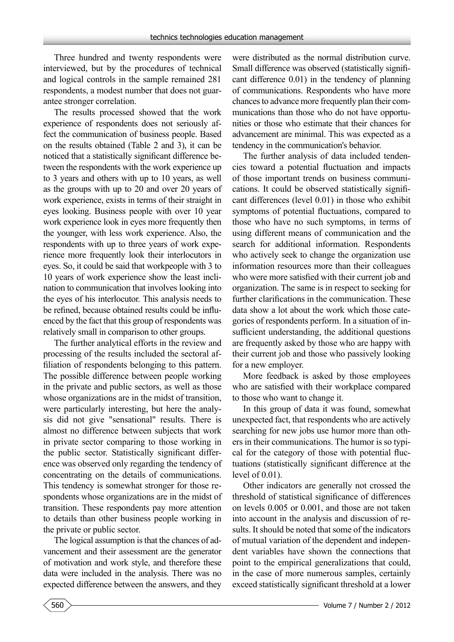Three hundred and twenty respondents were interviewed, but by the procedures of technical and logical controls in the sample remained 281 respondents, a modest number that does not guarantee stronger correlation.

The results processed showed that the work experience of respondents does not seriously affect the communication of business people. Based on the results obtained (Table 2 and 3), it can be noticed that a statistically significant difference between the respondents with the work experience up to 3 years and others with up to 10 years, as well as the groups with up to 20 and over 20 years of work experience, exists in terms of their straight in eyes looking. Business people with over 10 year work experience look in eyes more frequently then the younger, with less work experience. Also, the respondents with up to three years of work experience more frequently look their interlocutors in eyes. So, it could be said that workpeople with 3 to 10 years of work experience show the least inclination to communication that involves looking into the eyes of his interlocutor. This analysis needs to be refined, because obtained results could be influenced by the fact that this group of respondents was relatively small in comparison to other groups.

The further analytical efforts in the review and processing of the results included the sectoral affiliation of respondents belonging to this pattern. The possible difference between people working in the private and public sectors, as well as those whose organizations are in the midst of transition, were particularly interesting, but here the analysis did not give "sensational" results. There is almost no difference between subjects that work in private sector comparing to those working in the public sector. Statistically significant difference was observed only regarding the tendency of concentrating on the details of communications. This tendency is somewhat stronger for those respondents whose organizations are in the midst of transition. These respondents pay more attention to details than other business people working in the private or public sector.

The logical assumption is that the chances of advancement and their assessment are the generator of motivation and work style, and therefore these data were included in the analysis. There was no expected difference between the answers, and they

were distributed as the normal distribution curve. Small difference was observed (statistically significant difference 0.01) in the tendency of planning of communications. Respondents who have more chances to advance more frequently plan their communications than those who do not have opportunities or those who estimate that their chances for advancement are minimal. This was expected as a tendency in the communication's behavior.

The further analysis of data included tendencies toward a potential fluctuation and impacts of those important trends on business communications. It could be observed statistically significant differences (level 0.01) in those who exhibit symptoms of potential fluctuations, compared to those who have no such symptoms, in terms of using different means of communication and the search for additional information. Respondents who actively seek to change the organization use information resources more than their colleagues who were more satisfied with their current job and organization. The same is in respect to seeking for further clarifications in the communication. These data show a lot about the work which those categories of respondents perform. In a situation of insufficient understanding, the additional questions are frequently asked by those who are happy with their current job and those who passively looking for a new employer.

More feedback is asked by those employees who are satisfied with their workplace compared to those who want to change it.

In this group of data it was found, somewhat unexpected fact, that respondents who are actively searching for new jobs use humor more than others in their communications. The humor is so typical for the category of those with potential fluctuations (statistically significant difference at the level of 0.01).

Other indicators are generally not crossed the threshold of statistical significance of differences on levels 0.005 or 0.001, and those are not taken into account in the analysis and discussion of results. It should be noted that some of the indicators of mutual variation of the dependent and independent variables have shown the connections that point to the empirical generalizations that could, in the case of more numerous samples, certainly exceed statistically significant threshold at a lower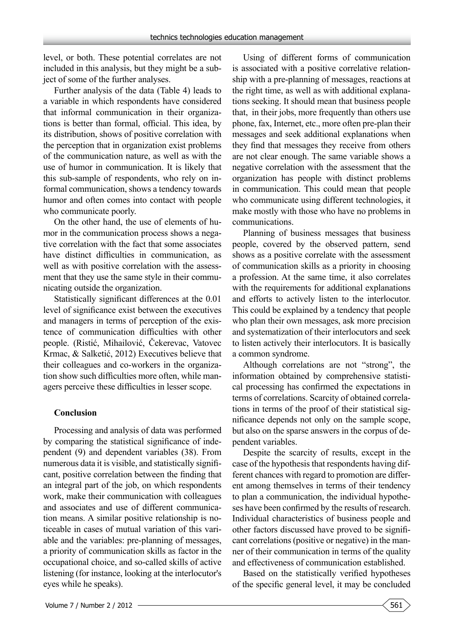level, or both. These potential correlates are not included in this analysis, but they might be a subject of some of the further analyses.

Further analysis of the data (Table 4) leads to a variable in which respondents have considered that informal communication in their organizations is better than formal, official. This idea, by its distribution, shows of positive correlation with the perception that in organization exist problems of the communication nature, as well as with the use of humor in communication. It is likely that this sub-sample of respondents, who rely on informal communication, shows a tendency towards humor and often comes into contact with people who communicate poorly.

On the other hand, the use of elements of humor in the communication process shows a negative correlation with the fact that some associates have distinct difficulties in communication, as well as with positive correlation with the assessment that they use the same style in their communicating outside the organization.

Statistically significant differences at the 0.01 level of significance exist between the executives and managers in terms of perception of the existence of communication difficulties with other people. (Ristić, Mihailović, Čekerevac, Vatovec Krmac, & Salketić, 2012) Executives believe that their colleagues and co-workers in the organization show such difficulties more often, while managers perceive these difficulties in lesser scope.

#### **Conclusion**

Processing and analysis of data was performed by comparing the statistical significance of independent (9) and dependent variables (38). From numerous data it is visible, and statistically significant, positive correlation between the finding that an integral part of the job, on which respondents work, make their communication with colleagues and associates and use of different communication means. A similar positive relationship is noticeable in cases of mutual variation of this variable and the variables: pre-planning of messages, a priority of communication skills as factor in the occupational choice, and so-called skills of active listening (for instance, looking at the interlocutor's eyes while he speaks).

Using of different forms of communication is associated with a positive correlative relationship with a pre-planning of messages, reactions at the right time, as well as with additional explanations seeking. It should mean that business people that, in their jobs, more frequently than others use phone, fax, Internet, etc., more often pre-plan their messages and seek additional explanations when they find that messages they receive from others are not clear enough. The same variable shows a negative correlation with the assessment that the organization has people with distinct problems in communication. This could mean that people who communicate using different technologies, it make mostly with those who have no problems in communications.

Planning of business messages that business people, covered by the observed pattern, send shows as a positive correlate with the assessment of communication skills as a priority in choosing a profession. At the same time, it also correlates with the requirements for additional explanations and efforts to actively listen to the interlocutor. This could be explained by a tendency that people who plan their own messages, ask more precision and systematization of their interlocutors and seek to listen actively their interlocutors. It is basically a common syndrome.

Although correlations are not "strong", the information obtained by comprehensive statistical processing has confirmed the expectations in terms of correlations. Scarcity of obtained correlations in terms of the proof of their statistical significance depends not only on the sample scope, but also on the sparse answers in the corpus of dependent variables.

Despite the scarcity of results, except in the case of the hypothesis that respondents having different chances with regard to promotion are different among themselves in terms of their tendency to plan a communication, the individual hypotheses have been confirmed by the results of research. Individual characteristics of business people and other factors discussed have proved to be significant correlations (positive or negative) in the manner of their communication in terms of the quality and effectiveness of communication established.

Based on the statistically verified hypotheses of the specific general level, it may be concluded

561